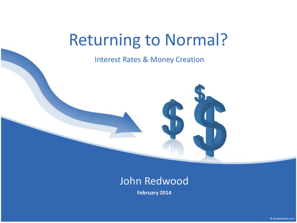# Returning to Normal?

Interest Rates & Money Creation

#### John Redwood

**February 2014**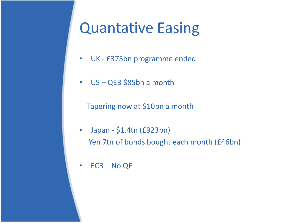## Quantative Easing

- UK £375bn programme ended
- US QE3 \$85bn a month

Tapering now at \$10bn a month

- Japan \$1.4tn (£923bn) Yen 7tn of bonds bought each month (£46bn)
- ECB No QE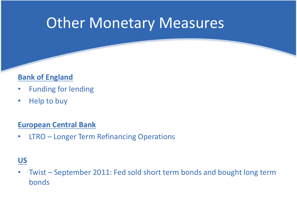## Other Monetary Measures

#### **Bank of England**

- Funding for lending
- Help to buy

#### **European Central Bank**

• LTRO – Longer Term Refinancing Operations

#### **US**

• Twist – September 2011: Fed sold short term bonds and bought long term bonds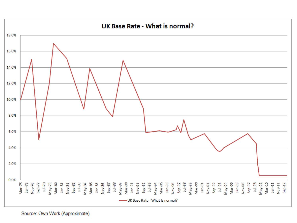

Source: Own Work (Approximate)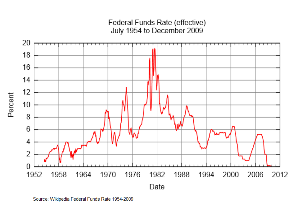#### Federal Funds Rate (effective) July 1954 to December 2009



Source: Wikipedia Federal Funds Rate 1954-2009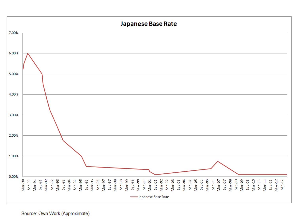

Source: Own Work (Approximate)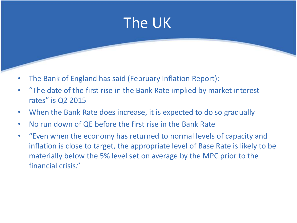

- The Bank of England has said (February Inflation Report):
- "The date of the first rise in the Bank Rate implied by market interest rates" is Q2 2015
- When the Bank Rate does increase, it is expected to do so gradually
- No run down of QE before the first rise in the Bank Rate
- "Even when the economy has returned to normal levels of capacity and inflation is close to target, the appropriate level of Base Rate is likely to be materially below the 5% level set on average by the MPC prior to the financial crisis."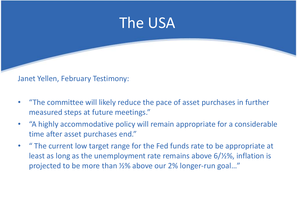

Janet Yellen, February Testimony:

- "The committee will likely reduce the pace of asset purchases in further measured steps at future meetings."
- "A highly accommodative policy will remain appropriate for a considerable time after asset purchases end."
- " The current low target range for the Fed funds rate to be appropriate at least as long as the unemployment rate remains above 6/½%, inflation is projected to be more than ½% above our 2% longer-run goal…"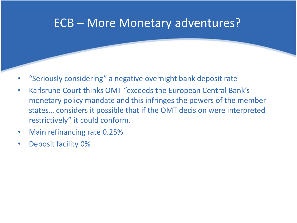### ECB – More Monetary adventures?

- "Seriously considering" a negative overnight bank deposit rate
- Karlsruhe Court thinks OMT "exceeds the European Central Bank's monetary policy mandate and this infringes the powers of the member states… considers it possible that if the OMT decision were interpreted restrictively" it could conform.
- Main refinancing rate 0.25%
- Deposit facility 0%